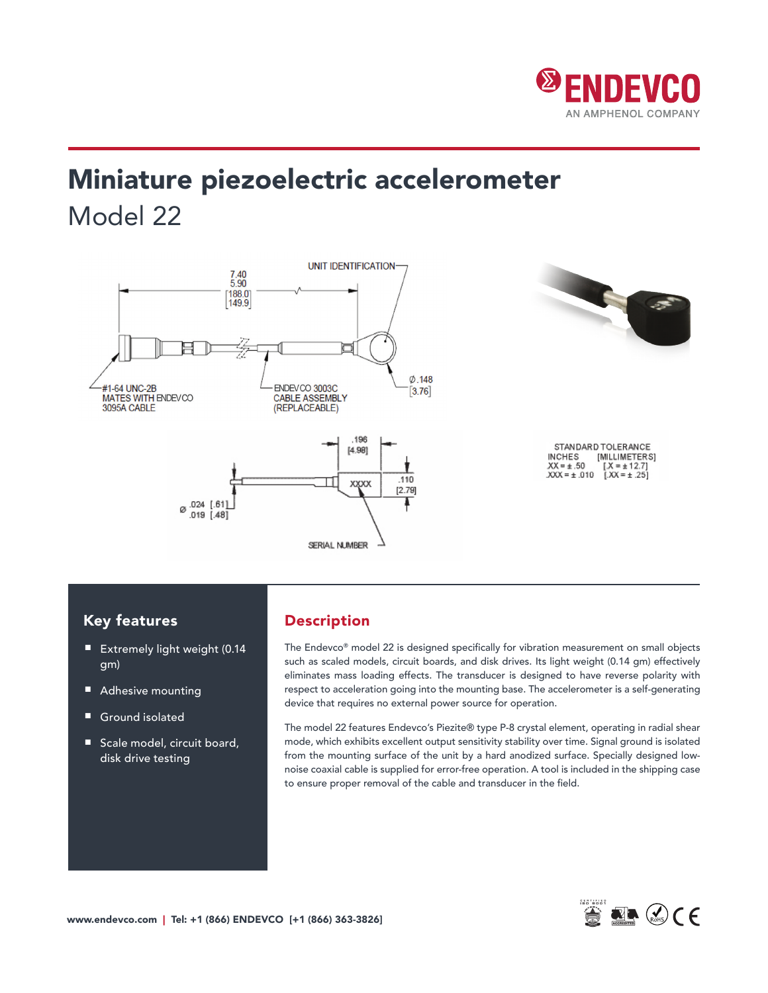

# Miniature piezoelectric accelerometer Model 22



## Key features

- Extremely light weight (0.14 gm)
- Adhesive mounting
- Ground isolated
- Scale model, circuit board, disk drive testing

## Description

The Endevco® model 22 is designed specifically for vibration measurement on small objects such as scaled models, circuit boards, and disk drives. Its light weight (0.14 gm) effectively eliminates mass loading effects. The transducer is designed to have reverse polarity with respect to acceleration going into the mounting base. The accelerometer is a self-generating device that requires no external power source for operation.

The model 22 features Endevco's Piezite® type P-8 crystal element, operating in radial shear mode, which exhibits excellent output sensitivity stability over time. Signal ground is isolated from the mounting surface of the unit by a hard anodized surface. Specially designed lownoise coaxial cable is supplied for error-free operation. A tool is included in the shipping case to ensure proper removal of the cable and transducer in the field.

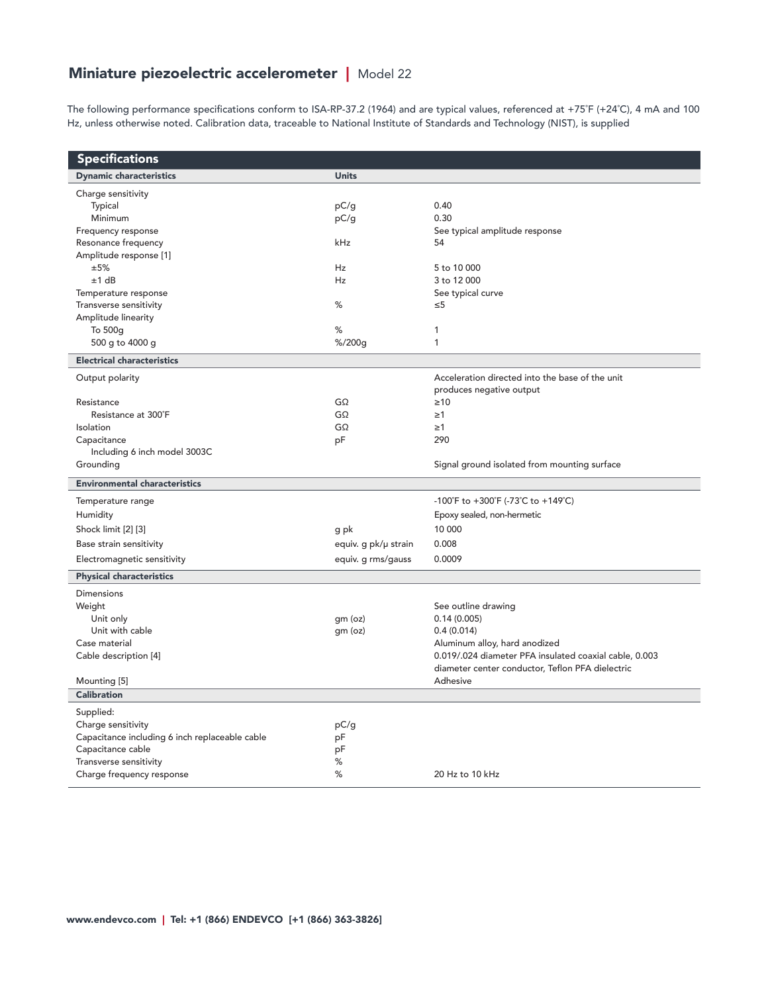# Miniature piezoelectric accelerometer | Model 22

The following performance specifications conform to ISA-RP-37.2 (1964) and are typical values, referenced at +75˚F (+24˚C), 4 mA and 100 Hz, unless otherwise noted. Calibration data, traceable to National Institute of Standards and Technology (NIST), is supplied

| <b>Specifications</b>                                                |                      |                                                              |
|----------------------------------------------------------------------|----------------------|--------------------------------------------------------------|
| <b>Dynamic characteristics</b>                                       | <b>Units</b>         |                                                              |
| Charge sensitivity                                                   |                      |                                                              |
| Typical                                                              | pC/g                 | 0.40                                                         |
| Minimum                                                              | pC/g                 | 0.30                                                         |
| Frequency response                                                   |                      | See typical amplitude response                               |
| Resonance frequency                                                  | kHz                  | 54                                                           |
| Amplitude response [1]                                               |                      |                                                              |
| ±5%                                                                  | Hz                   | 5 to 10 000                                                  |
| ±1 dB                                                                | Hz                   | 3 to 12 000                                                  |
| Temperature response                                                 |                      | See typical curve                                            |
| Transverse sensitivity                                               | %                    | $\leq 5$                                                     |
| Amplitude linearity                                                  | %                    |                                                              |
| To 500g                                                              |                      | 1<br>$\mathbf{1}$                                            |
| 500 g to 4000 g                                                      | % / 200g             |                                                              |
| <b>Electrical characteristics</b>                                    |                      |                                                              |
| Output polarity                                                      |                      | Acceleration directed into the base of the unit              |
|                                                                      |                      | produces negative output                                     |
| Resistance                                                           | $G\Omega$            | $\geq 10$                                                    |
| Resistance at 300°F                                                  | GΩ                   | $\geq$ 1                                                     |
| Isolation                                                            | $G\Omega$            | $\geq$ 1<br>290                                              |
| Capacitance<br>Including 6 inch model 3003C                          | pF                   |                                                              |
| Grounding                                                            |                      | Signal ground isolated from mounting surface                 |
| <b>Environmental characteristics</b>                                 |                      |                                                              |
|                                                                      |                      |                                                              |
| Temperature range                                                    |                      | -100°F to +300°F (-73°C to +149°C)                           |
| Humidity                                                             |                      | Epoxy sealed, non-hermetic                                   |
| Shock limit [2] [3]                                                  | g pk                 | 10 000                                                       |
| Base strain sensitivity                                              | equiv. g pk/µ strain | 0.008                                                        |
| Electromagnetic sensitivity                                          | equiv. g rms/gauss   | 0.0009                                                       |
| <b>Physical characteristics</b>                                      |                      |                                                              |
| Dimensions                                                           |                      |                                                              |
| Weight                                                               |                      | See outline drawing                                          |
| Unit only                                                            | qm (oz)              | 0.14(0.005)                                                  |
| Unit with cable                                                      | qm (oz)              | 0.4(0.014)                                                   |
| Case material                                                        |                      | Aluminum alloy, hard anodized                                |
| Cable description [4]                                                |                      | 0.019/.024 diameter PFA insulated coaxial cable, 0.003       |
| Mounting [5]                                                         |                      | diameter center conductor, Teflon PFA dielectric<br>Adhesive |
| <b>Calibration</b>                                                   |                      |                                                              |
|                                                                      |                      |                                                              |
| Supplied:                                                            | pC/g                 |                                                              |
| Charge sensitivity<br>Capacitance including 6 inch replaceable cable | pF                   |                                                              |
| Capacitance cable                                                    | pF                   |                                                              |
| Transverse sensitivity                                               | %                    |                                                              |
| Charge frequency response                                            | %                    | 20 Hz to 10 kHz                                              |
|                                                                      |                      |                                                              |